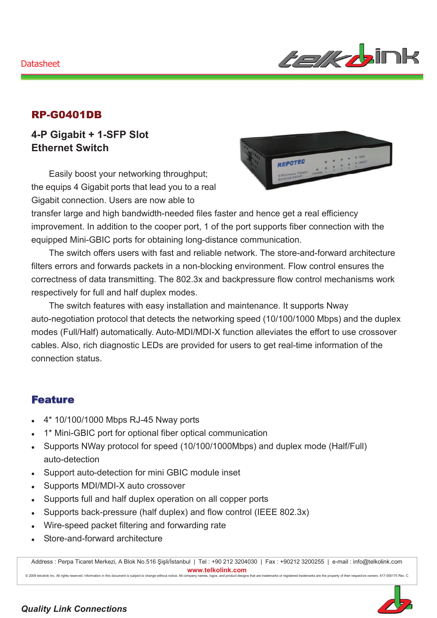#### Datasheet



### RP-G0401DB

## **4-P Gigabit + 1-SFP Slot Ethernet Switch**

Easily boost your networking throughput; the equips 4 Gigabit ports that lead you to a real Gigabit connection. Users are now able to



transfer large and high bandwidth-needed files faster and hence get a real efficiency improvement. In addition to the cooper port, 1 of the port supports fiber connection with the equipped Mini-GBIC ports for obtaining long-distance communication.

The switch offers users with fast and reliable network. The store-and-forward architecture filters errors and forwards packets in a non-blocking environment. Flow control ensures the correctness of data transmitting. The 802.3x and backpressure flow control mechanisms work respectively for full and half duplex modes.

The switch features with easy installation and maintenance. It supports Nway auto-negotiation protocol that detects the networking speed (10/100/1000 Mbps) and the duplex modes (Full/Half) automatically. Auto-MDI/MDI-X function alleviates the effort to use crossover cables. Also, rich diagnostic LEDs are provided for users to get real-time information of the connection status.

#### Feature

- <sup>z</sup> 4\* 10/100/1000 Mbps RJ-45 Nway ports
- 1\* Mini-GBIC port for optional fiber optical communication
- Supports NWay protocol for speed (10/100/1000Mbps) and duplex mode (Half/Full) auto-detection
- Support auto-detection for mini GBIC module inset
- Supports MDI/MDI-X auto crossover
- Supports full and half duplex operation on all copper ports

ct to change

- Supports back-pressure (half duplex) and flow control (IEEE 802.3x)
- Wire-speed packet filtering and forwarding rate
- Store-and-forward architecture

Address : Perpa Ticaret Merkezi, A Blok No.516 Şişli/İstanbul | Tel : +90 212 3204030 | Fax : +90212 3200255 | e-mail : info@telkolink.com  $www.telkolink.com$ 

without notice. All company names, logos, and product designs that are trademarks or registered trademarks are the prope

ev. C

rs. 617-000175 Re

rty of the eir re spe: etive: owne

#### **Quality Link Connections**

@ 2009 telcolink Inc. All rights reserved. Information in this document is subje